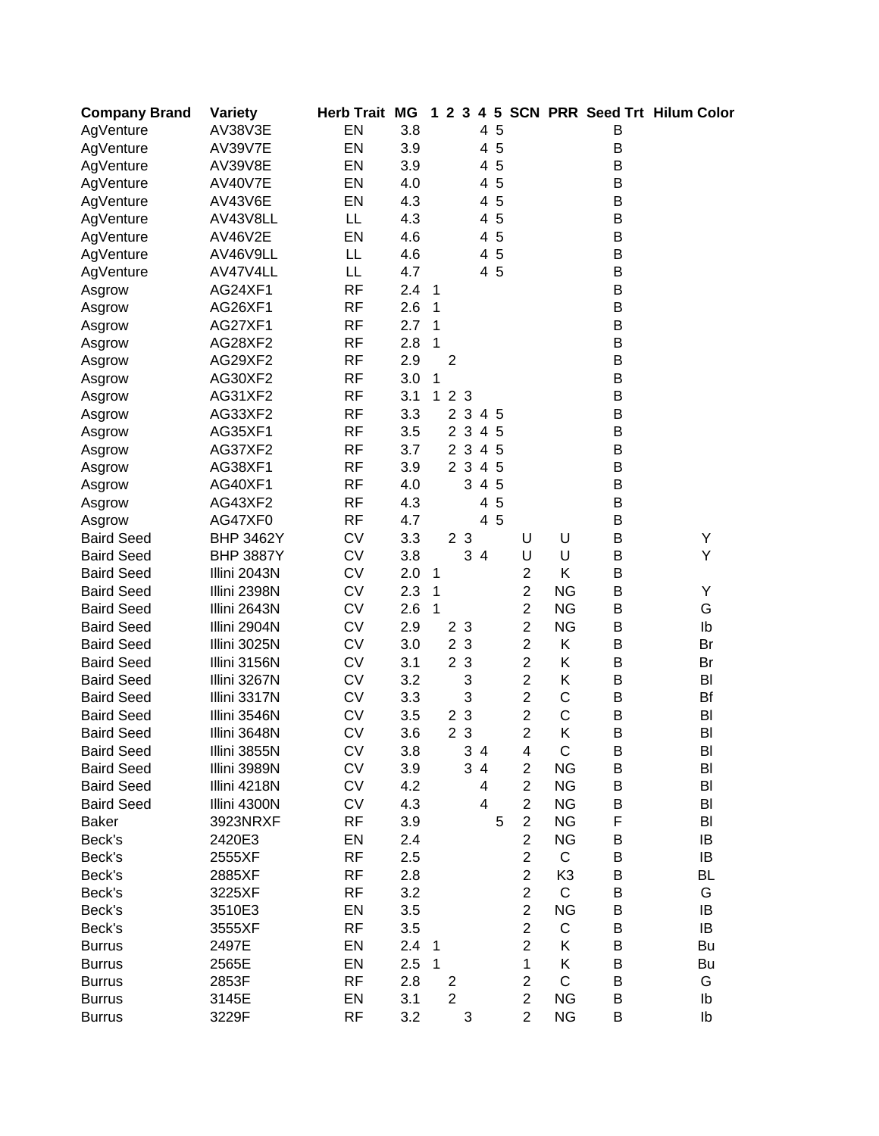| <b>Company Brand</b> | Variety          | <b>Herb Trait MG</b> |     |                | 123                     |                | $\overline{4}$ | 5   |                |                |   | <b>SCN PRR Seed Trt Hilum Color</b> |
|----------------------|------------------|----------------------|-----|----------------|-------------------------|----------------|----------------|-----|----------------|----------------|---|-------------------------------------|
| AgVenture            | AV38V3E          | EN                   | 3.8 |                |                         |                | 4              | 5   |                |                | В |                                     |
| AgVenture            | <b>AV39V7E</b>   | EN                   | 3.9 |                |                         |                | 4              | 5   |                |                | B |                                     |
| AgVenture            | <b>AV39V8E</b>   | EN                   | 3.9 |                |                         |                |                | 4 5 |                |                | B |                                     |
| AgVenture            | AV40V7E          | EN                   | 4.0 |                |                         |                |                | 4 5 |                |                | В |                                     |
| AgVenture            | <b>AV43V6E</b>   | EN                   | 4.3 |                |                         |                |                | 4 5 |                |                | B |                                     |
| AgVenture            | AV43V8LL         | LL                   | 4.3 |                |                         |                | 4              | 5   |                |                | B |                                     |
| AgVenture            | <b>AV46V2E</b>   | EN                   | 4.6 |                |                         |                | 4              | 5   |                |                | B |                                     |
| AgVenture            | AV46V9LL         | LL                   | 4.6 |                |                         |                | 4              | 5   |                |                | B |                                     |
| AgVenture            | AV47V4LL         | LL                   | 4.7 |                |                         |                |                | 4 5 |                |                | B |                                     |
| Asgrow               | AG24XF1          | <b>RF</b>            | 2.4 | $\mathbf{1}$   |                         |                |                |     |                |                | B |                                     |
| Asgrow               | AG26XF1          | <b>RF</b>            | 2.6 | $\mathbf{1}$   |                         |                |                |     |                |                | B |                                     |
| Asgrow               | AG27XF1          | <b>RF</b>            | 2.7 | $\mathbf{1}$   |                         |                |                |     |                |                | B |                                     |
| Asgrow               | AG28XF2          | <b>RF</b>            | 2.8 | 1              |                         |                |                |     |                |                | B |                                     |
| Asgrow               | AG29XF2          | <b>RF</b>            | 2.9 |                | $\overline{2}$          |                |                |     |                |                | B |                                     |
| Asgrow               | AG30XF2          | <b>RF</b>            | 3.0 | 1              |                         |                |                |     |                |                | B |                                     |
| Asgrow               | AG31XF2          | <b>RF</b>            | 3.1 | $\mathbf{1}$   |                         | 2 3            |                |     |                |                | B |                                     |
| Asgrow               | AG33XF2          | <b>RF</b>            | 3.3 |                |                         | 23             |                | 4 5 |                |                | B |                                     |
| Asgrow               | AG35XF1          | <b>RF</b>            | 3.5 |                |                         | 2 3            |                | 4 5 |                |                | B |                                     |
| Asgrow               | AG37XF2          | <b>RF</b>            | 3.7 |                |                         | 2 3            |                | 4 5 |                |                | B |                                     |
|                      | AG38XF1          | <b>RF</b>            | 3.9 |                |                         | 2 3            |                | 4 5 |                |                | B |                                     |
| Asgrow               | AG40XF1          | <b>RF</b>            | 4.0 |                |                         | 3              |                | 4 5 |                |                | B |                                     |
| Asgrow               | AG43XF2          | <b>RF</b>            | 4.3 |                |                         |                |                | 5   |                |                | B |                                     |
| Asgrow               |                  |                      |     |                |                         |                | 4              | 4 5 |                |                | B |                                     |
| Asgrow               | AG47XF0          | <b>RF</b>            | 4.7 |                |                         |                |                |     |                |                |   |                                     |
| <b>Baird Seed</b>    | <b>BHP 3462Y</b> | <b>CV</b>            | 3.3 |                |                         | 2 <sub>3</sub> |                |     | U              | U              | B | Y                                   |
| <b>Baird Seed</b>    | <b>BHP 3887Y</b> | <b>CV</b>            | 3.8 |                |                         |                | 34             |     | U              | U              | B | Υ                                   |
| <b>Baird Seed</b>    | Illini 2043N     | <b>CV</b>            | 2.0 | $\mathbf{1}$   |                         |                |                |     | $\overline{2}$ | Κ              | B |                                     |
| <b>Baird Seed</b>    | Illini 2398N     | <b>CV</b>            | 2.3 | $\mathbf{1}$   |                         |                |                |     | $\overline{2}$ | <b>NG</b>      | B | Υ                                   |
| <b>Baird Seed</b>    | Illini 2643N     | <b>CV</b>            | 2.6 | $\mathbf{1}$   |                         |                |                |     | $\overline{2}$ | <b>NG</b>      | B | G                                   |
| <b>Baird Seed</b>    | Illini 2904N     | <b>CV</b>            | 2.9 |                |                         | 2 3            |                |     | $\overline{2}$ | <b>NG</b>      | B | Ib                                  |
| <b>Baird Seed</b>    | Illini 3025N     | <b>CV</b>            | 3.0 |                |                         | 2 <sub>3</sub> |                |     | $\overline{c}$ | Κ              | B | Br                                  |
| <b>Baird Seed</b>    | Illini 3156N     | <b>CV</b>            | 3.1 |                |                         | 2 <sub>3</sub> |                |     | $\overline{c}$ | Κ              | B | Br                                  |
| <b>Baird Seed</b>    | Illini 3267N     | <b>CV</b>            | 3.2 |                |                         | 3              |                |     | $\overline{c}$ | Κ              | B | BI                                  |
| <b>Baird Seed</b>    | Illini 3317N     | <b>CV</b>            | 3.3 |                |                         | 3              |                |     | $\overline{c}$ | C              | B | Bf                                  |
| <b>Baird Seed</b>    | Illini 3546N     | <b>CV</b>            | 3.5 |                |                         | 2 <sub>3</sub> |                |     | $\overline{2}$ | $\mathsf{C}$   | B | BI                                  |
| <b>Baird Seed</b>    | Illini 3648N     | <b>CV</b>            | 3.6 |                |                         | 2 <sub>3</sub> |                |     | $\overline{2}$ | Κ              | B | BI                                  |
| <b>Baird Seed</b>    | Illini 3855N     | СV                   | 3.8 |                |                         |                | 3 4            |     | 4              | C              | Β | BI                                  |
| <b>Baird Seed</b>    | Illini 3989N     | <b>CV</b>            | 3.9 |                |                         |                | 3 4            |     | $\overline{c}$ | <b>NG</b>      | B | BI                                  |
| <b>Baird Seed</b>    | Illini 4218N     | <b>CV</b>            | 4.2 |                |                         |                | 4              |     | $\overline{2}$ | <b>NG</b>      | B | BI                                  |
| <b>Baird Seed</b>    | Illini 4300N     | <b>CV</b>            | 4.3 |                |                         |                | 4              |     | $\mathbf 2$    | <b>NG</b>      | B | BI                                  |
| <b>Baker</b>         | 3923NRXF         | <b>RF</b>            | 3.9 |                |                         |                |                | 5   | $\overline{2}$ | <b>NG</b>      | F | BI                                  |
| Beck's               | 2420E3           | EN                   | 2.4 |                |                         |                |                |     | $\overline{2}$ | <b>NG</b>      | B | IB                                  |
| Beck's               | 2555XF           | <b>RF</b>            | 2.5 |                |                         |                |                |     | $\overline{c}$ | $\mathsf C$    | B | IB                                  |
| Beck's               | 2885XF           | <b>RF</b>            | 2.8 |                |                         |                |                |     | $\overline{2}$ | K <sub>3</sub> | B | BL                                  |
| Beck's               | 3225XF           | <b>RF</b>            | 3.2 |                |                         |                |                |     | $\overline{c}$ | $\mathsf C$    | B | G                                   |
| Beck's               | 3510E3           | EN                   | 3.5 |                |                         |                |                |     | $\overline{c}$ | <b>NG</b>      | B | IB                                  |
| Beck's               | 3555XF           | <b>RF</b>            | 3.5 |                |                         |                |                |     | $\overline{2}$ | $\mathsf C$    | B | IB                                  |
| <b>Burrus</b>        | 2497E            | EN                   | 2.4 | $\overline{1}$ |                         |                |                |     | $\overline{c}$ | Κ              | B | Bu                                  |
| <b>Burrus</b>        | 2565E            | EN                   | 2.5 | $\mathbf{1}$   |                         |                |                |     | 1              | Κ              | B | Bu                                  |
| <b>Burrus</b>        | 2853F            | <b>RF</b>            | 2.8 |                | $\overline{\mathbf{c}}$ |                |                |     | $\overline{c}$ | $\mathsf C$    | B | G                                   |
| <b>Burrus</b>        | 3145E            | EN                   | 3.1 |                | $\overline{2}$          |                |                |     | $\overline{c}$ | <b>NG</b>      | B | Ib                                  |
| <b>Burrus</b>        | 3229F            | <b>RF</b>            | 3.2 |                |                         | 3              |                |     | $\overline{2}$ | <b>NG</b>      | B | Ib                                  |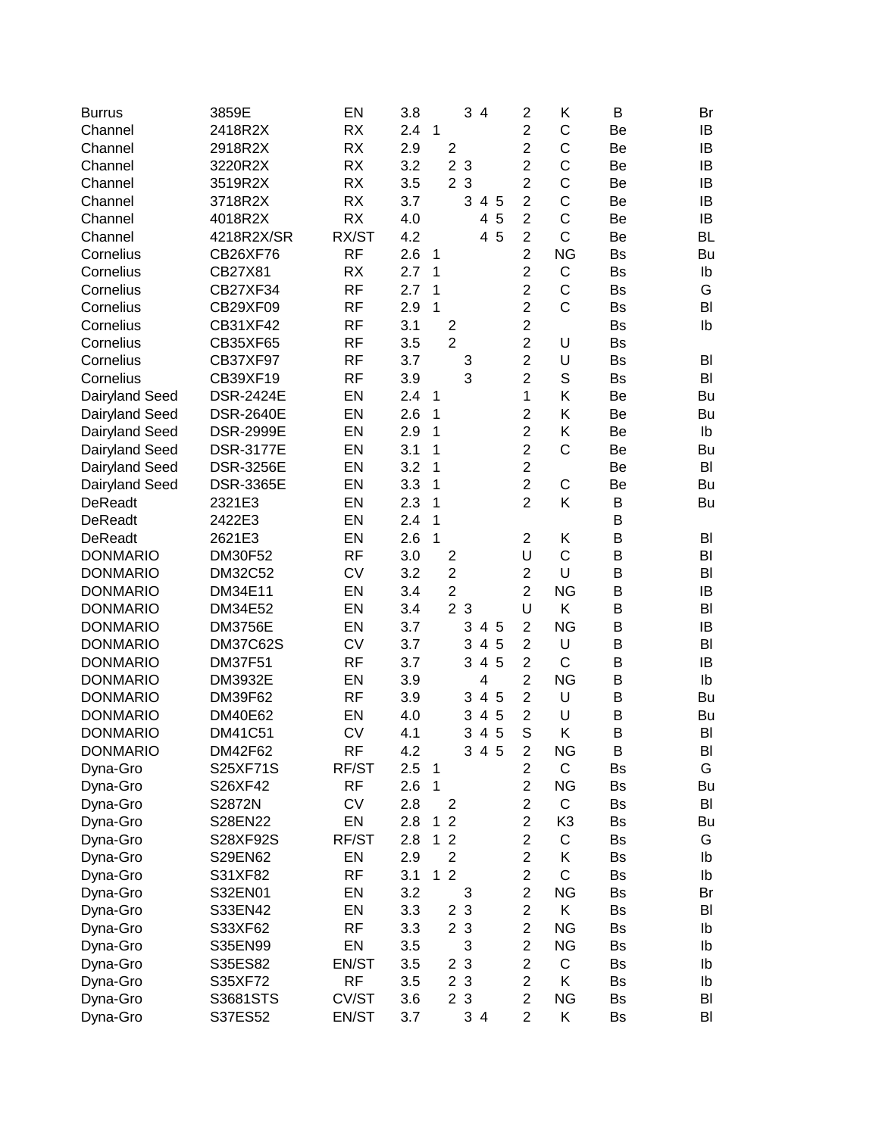| <b>Burrus</b>   | 3859E            | EN        | 3.8 |                     | 3 4                      | 2              | Κ            | В         | Br        |
|-----------------|------------------|-----------|-----|---------------------|--------------------------|----------------|--------------|-----------|-----------|
| Channel         | 2418R2X          | <b>RX</b> | 2.4 | $\mathbf{1}$        |                          | $\overline{2}$ | C            | Be        | IB        |
| Channel         | 2918R2X          | <b>RX</b> | 2.9 | $\overline{2}$      |                          | $\overline{c}$ | C            | Be        | IB        |
| Channel         | 3220R2X          | <b>RX</b> | 3.2 |                     | 2 <sub>3</sub>           | $\overline{c}$ | C            | Be        | IB        |
| Channel         | 3519R2X          | <b>RX</b> | 3.5 |                     | 2 3                      | $\overline{c}$ | C            | Be        | IB        |
| Channel         | 3718R2X          | <b>RX</b> | 3.7 |                     | 3<br>4 5                 | $\overline{c}$ | C            | Be        | IB        |
| Channel         | 4018R2X          | <b>RX</b> | 4.0 |                     | 5<br>4                   | $\overline{2}$ | C            | Be        | IB        |
| Channel         | 4218R2X/SR       | RX/ST     | 4.2 |                     | 5<br>4                   | $\overline{2}$ | C            | Be        | <b>BL</b> |
| Cornelius       | CB26XF76         | <b>RF</b> | 2.6 | 1                   |                          | $\overline{2}$ | <b>NG</b>    | Bs        | Bu        |
| Cornelius       | CB27X81          | <b>RX</b> | 2.7 | 1                   |                          | $\overline{2}$ | C            | Bs        | Ib        |
| Cornelius       | <b>CB27XF34</b>  | <b>RF</b> | 2.7 | 1                   |                          | $\overline{2}$ | C            | Bs        | G         |
| Cornelius       | CB29XF09         | <b>RF</b> | 2.9 | $\mathbf{1}$        |                          | $\overline{2}$ | C            | Bs        | BI        |
| Cornelius       | CB31XF42         | <b>RF</b> | 3.1 | $\overline{2}$      |                          | $\overline{c}$ |              | <b>Bs</b> | lb        |
| Cornelius       | CB35XF65         | <b>RF</b> | 3.5 | $\overline{2}$      |                          | $\overline{2}$ | U            | <b>Bs</b> |           |
| Cornelius       | <b>CB37XF97</b>  | <b>RF</b> | 3.7 |                     | 3                        | $\overline{2}$ | U            | <b>Bs</b> | BI        |
| Cornelius       | CB39XF19         | <b>RF</b> | 3.9 |                     | 3                        | $\overline{2}$ | S            | Bs        | BI        |
| Dairyland Seed  | <b>DSR-2424E</b> | EN        | 2.4 | 1                   |                          | 1              | Κ            | Be        | Bu        |
| Dairyland Seed  | <b>DSR-2640E</b> | EN        | 2.6 | 1                   |                          | $\overline{c}$ | Κ            | Be        | Bu        |
| Dairyland Seed  | <b>DSR-2999E</b> | EN        | 2.9 | 1                   |                          | $\overline{2}$ | Κ            | Be        | Ib        |
| Dairyland Seed  | <b>DSR-3177E</b> | EN        | 3.1 | 1                   |                          | $\overline{c}$ | C            | Be        | Bu        |
| Dairyland Seed  | <b>DSR-3256E</b> | EN        | 3.2 | 1                   |                          | $\overline{c}$ |              | Be        | BI        |
| Dairyland Seed  | <b>DSR-3365E</b> | EN        | 3.3 | 1                   |                          | $\overline{2}$ | C            | Be        | Bu        |
| DeReadt         | 2321E3           | EN        | 2.3 | 1                   |                          | $\overline{2}$ | Κ            | B         | Bu        |
| <b>DeReadt</b>  | 2422E3           | EN        | 2.4 | 1                   |                          |                |              | B         |           |
| <b>DeReadt</b>  | 2621E3           | EN        | 2.6 | $\mathbf{1}$        |                          | $\overline{2}$ | Κ            | B         | BI        |
| <b>DONMARIO</b> | <b>DM30F52</b>   | <b>RF</b> | 3.0 | $\overline{c}$      |                          | U              | C            | B         | BI        |
| <b>DONMARIO</b> | <b>DM32C52</b>   | <b>CV</b> | 3.2 | $\overline{2}$      |                          | $\overline{c}$ | U            | B         | BI        |
| <b>DONMARIO</b> | DM34E11          | EN        | 3.4 | $\overline{c}$      |                          | $\overline{2}$ | <b>NG</b>    | B         | IB        |
| <b>DONMARIO</b> | DM34E52          | EN        | 3.4 |                     | 2 <sub>3</sub>           | U              | Κ            | B         | BI        |
| <b>DONMARIO</b> | <b>DM3756E</b>   | EN        | 3.7 |                     | 3<br>$\overline{4}$<br>5 | $\overline{2}$ | <b>NG</b>    | B         | IB        |
| <b>DONMARIO</b> | <b>DM37C62S</b>  | <b>CV</b> | 3.7 |                     | 3<br>$\overline{4}$<br>5 | $\overline{c}$ | U            | B         | BI        |
| <b>DONMARIO</b> | <b>DM37F51</b>   | <b>RF</b> | 3.7 |                     | 5<br>3<br>$\overline{4}$ | $\overline{c}$ | $\mathsf{C}$ | B         | IB        |
| <b>DONMARIO</b> | DM3932E          | EN        | 3.9 |                     | 4                        | $\overline{2}$ | <b>NG</b>    | B         | Ib        |
| <b>DONMARIO</b> | DM39F62          | <b>RF</b> | 3.9 |                     | 4 5<br>3                 | $\overline{c}$ | U            | B         | Bu        |
| <b>DONMARIO</b> | DM40E62          | EN        | 4.0 |                     | 5<br>3<br>$\overline{4}$ | $\overline{c}$ | U            | B         | Bu        |
| <b>DONMARIO</b> | DM41C51          | <b>CV</b> | 4.1 |                     | 5<br>3<br>$\overline{4}$ | S              | Κ            | B         | BI        |
| <b>DONMARIO</b> | DM42F62          | RF        | 4.2 |                     | 3<br>45                  | 2              | ΝG           | B         | BI        |
| Dyna-Gro        | S25XF71S         | RF/ST     | 2.5 | 1                   |                          | $\overline{2}$ | C            | Bs        | G         |
| Dyna-Gro        | S26XF42          | <b>RF</b> | 2.6 | 1                   |                          | $\overline{2}$ | <b>NG</b>    | Bs        | Bu        |
| Dyna-Gro        | S2872N           | <b>CV</b> | 2.8 | 2                   |                          | $\overline{2}$ | C            | Bs        | BI        |
| Dyna-Gro        | S28EN22          | EN        | 2.8 | $\overline{2}$<br>1 |                          | $\overline{2}$ | K3           | Bs        | Bu        |
| Dyna-Gro        | S28XF92S         | RF/ST     | 2.8 | $\overline{2}$<br>1 |                          | $\overline{c}$ | C            | Bs        | G         |
| Dyna-Gro        | S29EN62          | EN        | 2.9 | $\overline{c}$      |                          | $\overline{c}$ | Κ            | Bs        | Ib        |
| Dyna-Gro        | S31XF82          | <b>RF</b> | 3.1 | $\overline{2}$<br>1 |                          | $\overline{c}$ | C            | Bs        | Ib        |
| Dyna-Gro        | S32EN01          | EN        | 3.2 |                     | 3                        | $\overline{c}$ | <b>NG</b>    | Bs        | Br        |
| Dyna-Gro        | S33EN42          | EN        | 3.3 | $\overline{2}$      | $\mathbf{3}$             | $\overline{c}$ | K.           | Bs        | BI        |
| Dyna-Gro        | S33XF62          | <b>RF</b> | 3.3 |                     | 2 3                      | $\overline{2}$ | <b>NG</b>    | Bs        | Ib        |
| Dyna-Gro        | S35EN99          | EN        | 3.5 |                     | 3                        | $\overline{2}$ | <b>NG</b>    | Bs        | Ib        |
| Dyna-Gro        | S35ES82          | EN/ST     | 3.5 |                     | 2 <sub>3</sub>           | $\overline{2}$ | C            | Bs        | Ib        |
| Dyna-Gro        | S35XF72          | <b>RF</b> | 3.5 |                     | 2 3                      | $\overline{c}$ | Κ            | Bs        | Ib        |
| Dyna-Gro        | S3681STS         | CV/ST     | 3.6 |                     | 2 3                      | $\overline{c}$ | <b>NG</b>    | <b>Bs</b> | BI        |
| Dyna-Gro        | S37ES52          | EN/ST     | 3.7 |                     | 34                       | $\overline{2}$ | Κ            | <b>Bs</b> | BI        |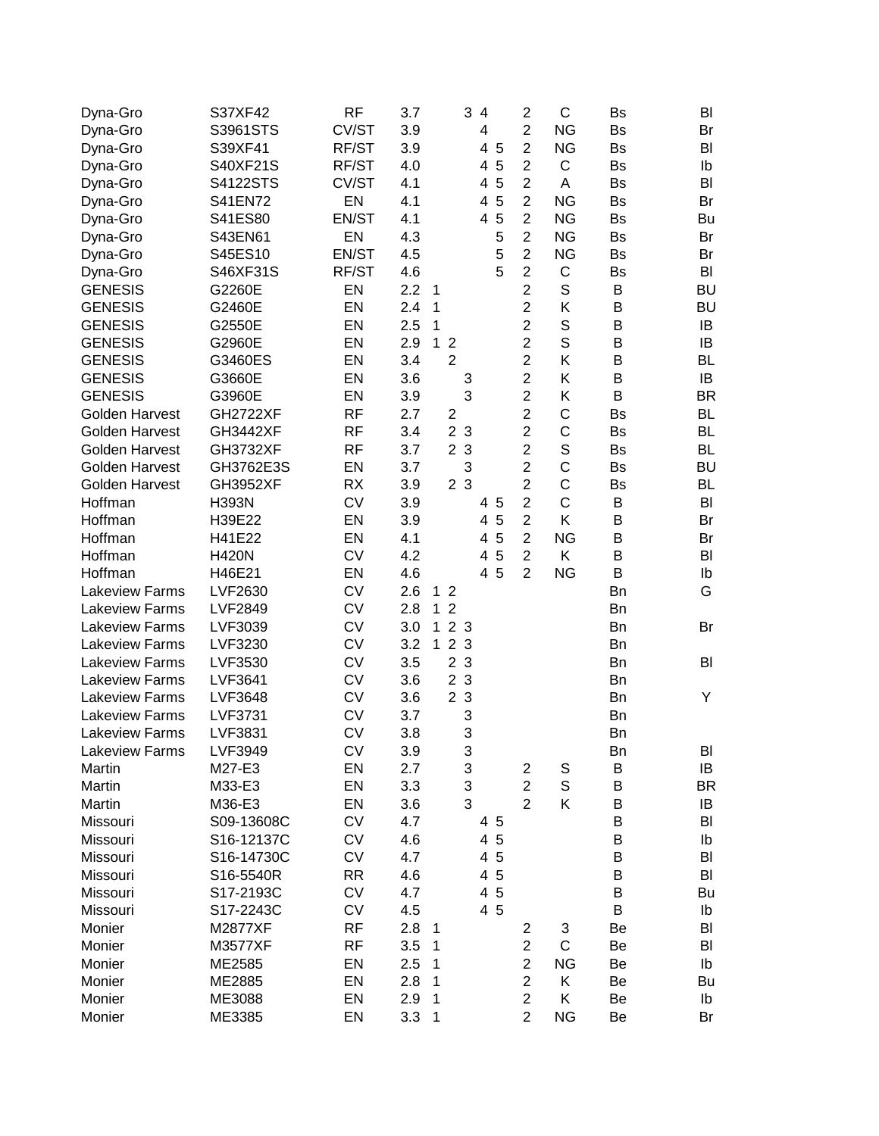| Dyna-Gro              | S37XF42         | <b>RF</b> | 3.7        |              |                     | 3<br>$\overline{4}$ |         | $\mathbf 2$             | C           | <b>Bs</b> | BI        |
|-----------------------|-----------------|-----------|------------|--------------|---------------------|---------------------|---------|-------------------------|-------------|-----------|-----------|
| Dyna-Gro              | S3961STS        | CV/ST     | 3.9        |              |                     | 4                   |         | $\overline{2}$          | <b>NG</b>   | <b>Bs</b> | Br        |
| Dyna-Gro              | S39XF41         | RF/ST     | 3.9        |              |                     |                     | 4 5     | $\overline{2}$          | <b>NG</b>   | Bs        | BI        |
| Dyna-Gro              | S40XF21S        | RF/ST     | 4.0        |              |                     | 4                   | 5       | $\mathbf 2$             | C           | Bs        | Ib        |
| Dyna-Gro              | S4122STS        | CV/ST     | 4.1        |              |                     | 4                   | 5       | $\overline{2}$          | Α           | Bs        | BI        |
| Dyna-Gro              | S41EN72         | EN        | 4.1        |              |                     | 4                   | 5       | $\overline{2}$          | <b>NG</b>   | <b>Bs</b> | Br        |
| Dyna-Gro              | S41ES80         | EN/ST     | 4.1        |              |                     | 4                   | 5       | $\overline{2}$          | <b>NG</b>   | <b>Bs</b> | Bu        |
| Dyna-Gro              | S43EN61         | EN        | 4.3        |              |                     |                     | 5       | $\overline{2}$          | <b>NG</b>   | Bs        | Br        |
| Dyna-Gro              | S45ES10         | EN/ST     | 4.5        |              |                     |                     | 5       | $\overline{2}$          | <b>NG</b>   | <b>Bs</b> | Br        |
| Dyna-Gro              | S46XF31S        | RF/ST     | 4.6        |              |                     |                     | 5       | $\mathbf 2$             | $\mathsf C$ | <b>Bs</b> | BI        |
| <b>GENESIS</b>        | G2260E          | EN        | 2.2        | $\mathbf 1$  |                     |                     |         | $\overline{2}$          | $\mathbb S$ | B         | <b>BU</b> |
| <b>GENESIS</b>        | G2460E          | EN        | 2.4        | 1            |                     |                     |         | $\overline{2}$          | Κ           | B         | <b>BU</b> |
| <b>GENESIS</b>        | G2550E          | EN        | 2.5        | $\mathbf{1}$ |                     |                     |         | $\overline{2}$          | S           | B         | IB        |
| <b>GENESIS</b>        | G2960E          | EN        | 2.9        | $\mathbf{1}$ | $\overline{2}$      |                     |         | $\overline{2}$          | $\mathsf S$ | B         | IB        |
| <b>GENESIS</b>        | G3460ES         | EN        | 3.4        |              | $\overline{2}$      |                     |         | $\overline{2}$          | Κ           | B         | <b>BL</b> |
| <b>GENESIS</b>        | G3660E          | EN        | 3.6        |              |                     | 3                   |         | $\overline{2}$          | Κ           | B         | IB        |
| <b>GENESIS</b>        | G3960E          | EN        | 3.9        |              |                     | 3                   |         | $\overline{c}$          | Κ           | B         | <b>BR</b> |
| <b>Golden Harvest</b> | <b>GH2722XF</b> | <b>RF</b> | 2.7        |              | $\overline{2}$      |                     |         | $\overline{c}$          | C           | <b>Bs</b> | <b>BL</b> |
| <b>Golden Harvest</b> | <b>GH3442XF</b> | <b>RF</b> | 3.4        |              | $\overline{2}$      | 3                   |         | $\overline{c}$          | $\mathsf C$ | <b>Bs</b> | <b>BL</b> |
| <b>Golden Harvest</b> | <b>GH3732XF</b> | <b>RF</b> | 3.7        |              | $\overline{2}$<br>3 |                     |         | $\overline{c}$          | $\mathbb S$ | <b>Bs</b> | <b>BL</b> |
| <b>Golden Harvest</b> | GH3762E3S       | EN        | 3.7        |              |                     | 3                   |         | $\overline{2}$          | C           | <b>Bs</b> | <b>BU</b> |
| <b>Golden Harvest</b> | <b>GH3952XF</b> | <b>RX</b> | 3.9        |              | 2 <sub>3</sub>      |                     |         | $\overline{2}$          | C           | <b>Bs</b> | <b>BL</b> |
| Hoffman               | <b>H393N</b>    | <b>CV</b> | 3.9        |              |                     |                     | 4 5     | $\overline{2}$          | $\mathsf C$ | B         | BI        |
| Hoffman               | H39E22          | EN        | 3.9        |              |                     | 4                   | 5       | $\overline{2}$          | Κ           | B         | Br        |
| Hoffman               | H41E22          | EN        | 4.1        |              |                     | 4                   | 5       | $\overline{2}$          | <b>NG</b>   | B         | Br        |
| Hoffman               | <b>H420N</b>    | <b>CV</b> | 4.2        |              |                     | 4                   | 5       | $\overline{2}$          | Κ           | B         | BI        |
| Hoffman               | H46E21          | EN        | 4.6        |              |                     | 4                   | 5       | $\overline{2}$          | <b>NG</b>   | B         | Ib        |
| <b>Lakeview Farms</b> | <b>LVF2630</b>  | <b>CV</b> | 2.6        | 1            | $\overline{2}$      |                     |         |                         |             | Bn        | G         |
| Lakeview Farms        | <b>LVF2849</b>  | <b>CV</b> | 2.8        | $\mathbf{1}$ | $\overline{2}$      |                     |         |                         |             | <b>Bn</b> |           |
| <b>Lakeview Farms</b> | LVF3039         | <b>CV</b> | 3.0        | $\mathbf{1}$ | 2 <sub>3</sub>      |                     |         |                         |             | <b>Bn</b> | Br        |
| <b>Lakeview Farms</b> | LVF3230         | <b>CV</b> | 3.2        | $\mathbf{1}$ | $\overline{2}$<br>3 |                     |         |                         |             | <b>Bn</b> |           |
| <b>Lakeview Farms</b> | LVF3530         | <b>CV</b> | 3.5        |              | $\overline{c}$<br>3 |                     |         |                         |             | <b>Bn</b> | BI        |
| Lakeview Farms        | <b>LVF3641</b>  | <b>CV</b> | 3.6        |              | $\overline{2}$      | $\mathbf{3}$        |         |                         |             | <b>Bn</b> |           |
| <b>Lakeview Farms</b> | <b>LVF3648</b>  | <b>CV</b> | 3.6        |              | 2 <sub>3</sub>      |                     |         |                         |             | Bn        | Υ         |
| <b>Lakeview Farms</b> | <b>LVF3731</b>  | <b>CV</b> | 3.7        |              |                     | 3                   |         |                         |             | <b>Bn</b> |           |
| <b>Lakeview Farms</b> | <b>LVF3831</b>  | <b>CV</b> | 3.8        |              |                     | 3                   |         |                         |             | Bn        |           |
| Lakeview Farms        | LVF3949         | <b>CV</b> |            |              |                     |                     |         |                         |             |           | BI        |
| Martin                | M27-E3          | EN        | 3.9<br>2.7 |              |                     | 3<br>3              |         | $\overline{\mathbf{c}}$ | S           | Вn<br>B   | IB        |
| Martin                | M33-E3          | EN        | 3.3        |              |                     | 3                   |         | $\overline{c}$          | $\mathbb S$ | B         | <b>BR</b> |
| Martin                | M36-E3          | EN        | 3.6        |              |                     | 3                   |         | $\overline{2}$          | Κ           | B         | IB        |
| Missouri              | S09-13608C      | <b>CV</b> | 4.7        |              |                     |                     |         |                         |             | B         | BI        |
|                       | S16-12137C      | <b>CV</b> |            |              |                     | 4                   | 45<br>5 |                         |             | B         |           |
| Missouri              |                 |           | 4.6        |              |                     |                     |         |                         |             |           | Ib        |
| Missouri              | S16-14730C      | CV        | 4.7        |              |                     |                     | 4 5     |                         |             | B         | BI        |
| Missouri              | S16-5540R       | <b>RR</b> | 4.6        |              |                     | $\overline{4}$      | 5       |                         |             | B         | BI        |
| Missouri              | S17-2193C       | <b>CV</b> | 4.7        |              |                     |                     | 4 5     |                         |             | B         | Bu        |
| Missouri              | S17-2243C       | <b>CV</b> | 4.5        |              |                     |                     | 4 5     |                         |             | B         | lb        |
| Monier                | M2877XF         | <b>RF</b> | 2.8        | $\mathbf 1$  |                     |                     |         | $\overline{\mathbf{c}}$ | 3           | Be        | BI        |
| Monier                | M3577XF         | <b>RF</b> | 3.5        | 1            |                     |                     |         | $\overline{c}$          | $\mathsf C$ | Be        | BI        |
| Monier                | ME2585          | EN        | 2.5        | 1            |                     |                     |         | $\overline{c}$          | <b>NG</b>   | Be        | Ib        |
| Monier                | ME2885          | EN        | 2.8        | 1            |                     |                     |         | $\overline{c}$          | Κ           | Be        | Bu        |
| Monier                | ME3088          | EN        | 2.9        | 1            |                     |                     |         | $\boldsymbol{2}$        | Κ           | Be        | Ib        |
| Monier                | ME3385          | EN        | 3.3        | 1            |                     |                     |         | $\overline{2}$          | <b>NG</b>   | Be        | Br        |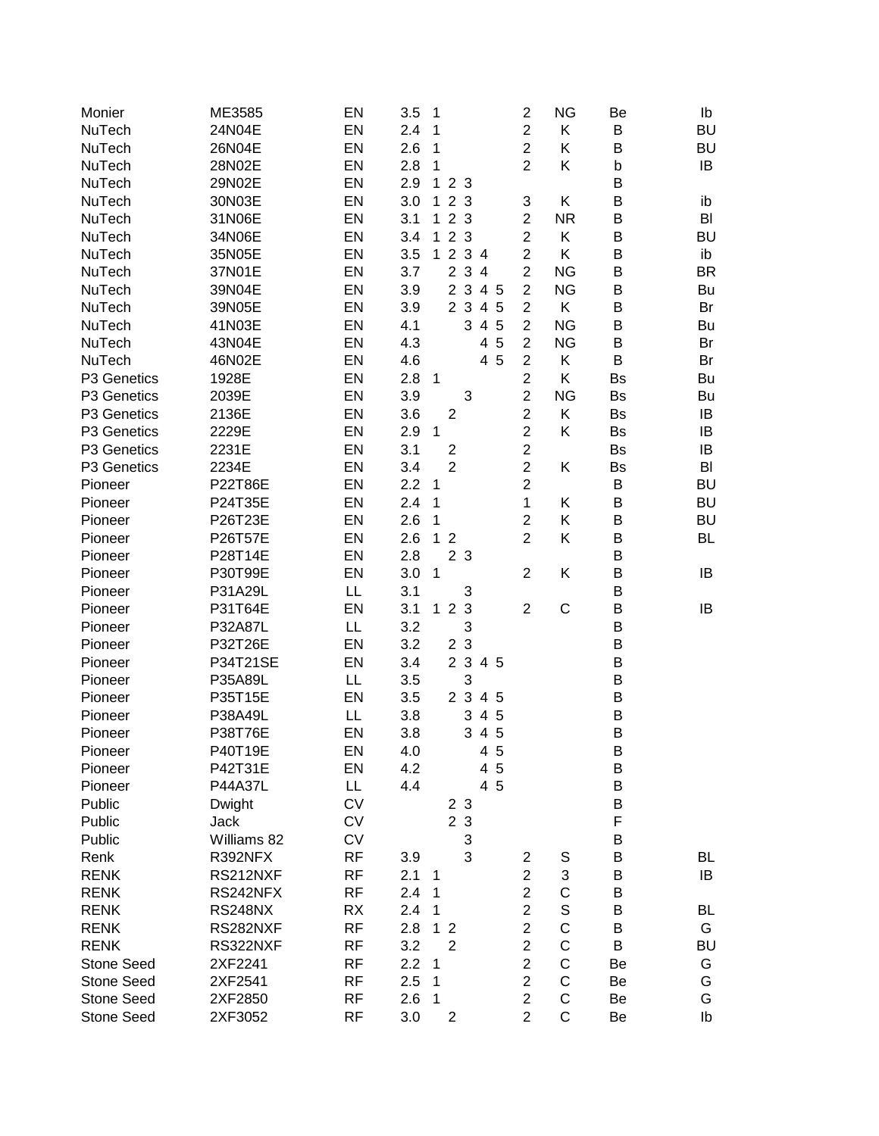| Monier            | ME3585         | EN        | 3.5<br>1                                            |        | $\overline{c}$          | <b>NG</b>   | Be        | Ib        |
|-------------------|----------------|-----------|-----------------------------------------------------|--------|-------------------------|-------------|-----------|-----------|
| NuTech            | 24N04E         | EN        | 2.4<br>1                                            |        | $\overline{c}$          | Κ           | B         | <b>BU</b> |
| NuTech            | 26N04E         | EN        | 2.6<br>1                                            |        | $\overline{c}$          | Κ           | B         | <b>BU</b> |
| NuTech            | 28N02E         | EN        | 2.8<br>1                                            |        | $\overline{2}$          | Κ           | b         | IB        |
| NuTech            | 29N02E         | EN        | 2.9<br>123                                          |        |                         |             | B         |           |
| NuTech            | 30N03E         | EN        | 3.0<br>2 3<br>$\mathbf 1$                           |        | 3                       | Κ           | B         | ib        |
| NuTech            | 31N06E         | EN        | 3.1<br>2 3<br>$\mathbf 1$                           |        | $\overline{2}$          | <b>NR</b>   | B         | BI        |
| NuTech            | 34N06E         | EN        | 2 3<br>3.4<br>$\mathbf 1$                           |        | $\overline{c}$          | K.          | B         | <b>BU</b> |
| NuTech            | 35N05E         | EN        | 1 2 3 4<br>3.5                                      |        | $\overline{2}$          | Κ           | B         | ib        |
| NuTech            | 37N01E         | EN        | 2 3 4<br>3.7                                        |        | $\overline{2}$          | <b>NG</b>   | B         | <b>BR</b> |
| NuTech            | 39N04E         | EN        | 2 3 4 5<br>3.9                                      |        | $\overline{2}$          | <b>NG</b>   | B         | Bu        |
| NuTech            | 39N05E         | EN        | 2 3 4 5<br>3.9                                      |        | $\mathbf 2$             | K           | B         | Br        |
| NuTech            | 41N03E         | EN        | 3<br>4.1                                            | 4 5    | $\mathbf 2$             | <b>NG</b>   | B         | Bu        |
| NuTech            | 43N04E         | EN        | 4.3                                                 | 5<br>4 | $\overline{2}$          | <b>NG</b>   | B         | Br        |
| NuTech            | 46N02E         | EN        | 4.6                                                 | 4 5    | $\overline{c}$          | Κ           | B         | Br        |
| P3 Genetics       | 1928E          | EN        | 2.8<br>1                                            |        | $\overline{c}$          | Κ           | Bs        | Bu        |
| P3 Genetics       | 2039E          | EN        | 3.9<br>3                                            |        | $\overline{2}$          | <b>NG</b>   | Bs        | Bu        |
| P3 Genetics       | 2136E          | EN        | 3.6<br>$\mathbf{2}$                                 |        | $\overline{c}$          | Κ           | <b>Bs</b> | IB        |
| P3 Genetics       | 2229E          | EN        | 2.9<br>1                                            |        | $\overline{c}$          | Κ           | Bs        | IB        |
| P3 Genetics       | 2231E          | EN        | 3.1<br>$\mathbf{2}$                                 |        | $\overline{c}$          |             | Bs        | IB        |
| P3 Genetics       | 2234E          | EN        | $\overline{2}$<br>3.4                               |        | $\overline{c}$          | Κ           | Bs        | BI        |
| Pioneer           | <b>P22T86E</b> | EN        | 2.2<br>1                                            |        | $\overline{c}$          |             | B         | <b>BU</b> |
| Pioneer           | P24T35E        | EN        | 2.4<br>1                                            |        | 1                       | Κ           | B         | <b>BU</b> |
| Pioneer           | P26T23E        | EN        | 2.6<br>1                                            |        | $\overline{c}$          | Κ           | B         | <b>BU</b> |
| Pioneer           | P26T57E        | EN        | 2.6<br>$\overline{2}$<br>1                          |        | $\overline{2}$          | Κ           | B         | <b>BL</b> |
| Pioneer           | P28T14E        | EN        | 2.8<br>2 <sub>3</sub>                               |        |                         |             | B         |           |
| Pioneer           | P30T99E        | EN        | 3.0<br>1                                            |        | $\overline{2}$          | Κ           | B         | IB        |
| Pioneer           | P31A29L        | LL        | 3<br>3.1                                            |        |                         |             | B         |           |
| Pioneer           | P31T64E        | EN        | $\sqrt{3}$<br>$\overline{2}$<br>3.1<br>$\mathbf{1}$ |        | $\overline{2}$          | $\mathsf C$ | $\sf B$   | IB        |
| Pioneer           | P32A87L        | LL        | 3<br>3.2                                            |        |                         |             | B         |           |
| Pioneer           | P32T26E        | EN        | 2 3<br>3.2                                          |        |                         |             | B         |           |
| Pioneer           | P34T21SE       | EN        | 2 3 4 5<br>3.4                                      |        |                         |             | $\sf B$   |           |
| Pioneer           | P35A89L        | LL        | 3<br>3.5                                            |        |                         |             | $\sf B$   |           |
| Pioneer           | P35T15E        | EN        | 2 3 4 5<br>3.5                                      |        |                         |             | $\sf B$   |           |
| Pioneer           | P38A49L        | LL        | 3<br>3.8                                            | 4 5    |                         |             | $\sf B$   |           |
| Pioneer           | P38T76E        | EN        | 3.8<br>3                                            | 4 5    |                         |             | B         |           |
| Pioneer           | P40T19E        | EN        | 4.0                                                 | 45     |                         |             | B         |           |
| Pioneer           | P42T31E        | EN        | 4.2                                                 | 4<br>5 |                         |             | B         |           |
| Pioneer           | P44A37L        | LL        | 4.4                                                 | 4 5    |                         |             | B         |           |
| Public            | Dwight         | <b>CV</b> | 2 3                                                 |        |                         |             | B         |           |
| Public            | Jack           | <b>CV</b> | 2 3                                                 |        |                         |             | F         |           |
| Public            | Williams 82    | <b>CV</b> | 3                                                   |        |                         |             | B         |           |
| Renk              | R392NFX        | <b>RF</b> | 3<br>3.9                                            |        | $\overline{\mathbf{c}}$ | S           | B         | BL        |
| <b>RENK</b>       | RS212NXF       | <b>RF</b> | 2.1<br>1                                            |        | $\overline{c}$          | 3           | B         | IB        |
| <b>RENK</b>       | RS242NFX       | <b>RF</b> | 2.4<br>1                                            |        | $\overline{c}$          | C           | B         |           |
| <b>RENK</b>       | <b>RS248NX</b> | <b>RX</b> | 2.4<br>1                                            |        | $\overline{c}$          | $\mathsf S$ | B         | <b>BL</b> |
| <b>RENK</b>       | RS282NXF       | <b>RF</b> | 2.8<br>$\mathbf{1}$<br>$\overline{2}$               |        | $\overline{c}$          | $\mathsf C$ | B         | G         |
| <b>RENK</b>       | RS322NXF       | <b>RF</b> | $\overline{2}$<br>3.2                               |        | $\overline{c}$          | $\mathsf C$ | B         | <b>BU</b> |
| <b>Stone Seed</b> | 2XF2241        | <b>RF</b> | 2.2<br>1                                            |        | $\overline{c}$          | $\mathsf C$ | Be        | G         |
| <b>Stone Seed</b> | 2XF2541        | <b>RF</b> | 2.5<br>1                                            |        | $\overline{c}$          | $\mathsf C$ | Be        | G         |
| <b>Stone Seed</b> | 2XF2850        | <b>RF</b> | 2.6<br>1                                            |        | $\overline{c}$          | $\mathsf C$ | Be        | G         |
| <b>Stone Seed</b> | 2XF3052        | <b>RF</b> | 3.0<br>$\overline{\mathbf{c}}$                      |        | $\overline{2}$          | $\mathsf C$ | Be        | Ib        |